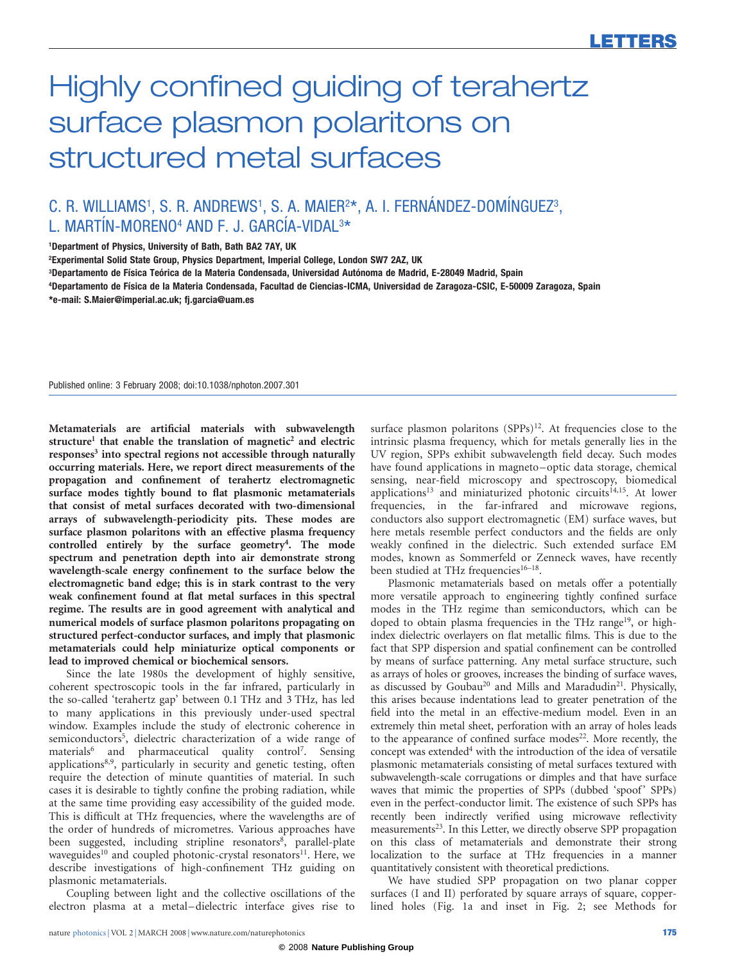# Highly confined guiding of terahertz surface plasmon polaritons on structured metal surfaces

## C. R. WILLIAMS<sup>1</sup>, S. R. ANDREWS<sup>1</sup>, S. A. MAIER<sup>2\*</sup>, A. I. FERNÁNDEZ-DOMÍNGUEZ<sup>3</sup>, L. MARTÍN-MORENO $^4$  AND F. J. GARCÍA-VIDAL $^{3\star}$

1Department of Physics, University of Bath, Bath BA2 7AY, UK

2Experimental Solid State Group, Physics Department, Imperial College, London SW7 2AZ, UK

<sup>3</sup>Departamento de Física Teórica de la Materia Condensada, Universidad Autónoma de Madrid, E-28049 Madrid, Spain

4Departamento de Fı´sica de la Materia Condensada, Facultad de Ciencias-ICMA, Universidad de Zaragoza-CSIC, E-50009 Zaragoza, Spain

[\\*e-mail: S.Maier@imperial.ac.uk; fj.garcia@uam.es](mailto:S.Maier@imperial.ac.uk; fj.garcia@uam.es)

Published online: 3 February 2008; [doi:10.1038/nphoton.2007.301](http://www.nature.com/doifinder/10.1038/nphoton.2007.301)

Metamaterials are artificial materials with subwavelength structure<sup>1</sup> that enable the translation of magnetic<sup>2</sup> and electric responses<sup>3</sup> into spectral regions not accessible through naturally occurring materials. Here, we report direct measurements of the propagation and confinement of terahertz electromagnetic surface modes tightly bound to flat plasmonic metamaterials that consist of metal surfaces decorated with two-dimensional arrays of subwavelength-periodicity pits. These modes are surface plasmon polaritons with an effective plasma frequency controlled entirely by the surface geometry<sup>4</sup>. The mode spectrum and penetration depth into air demonstrate strong wavelength-scale energy confinement to the surface below the electromagnetic band edge; this is in stark contrast to the very weak confinement found at flat metal surfaces in this spectral regime. The results are in good agreement with analytical and numerical models of surface plasmon polaritons propagating on structured perfect-conductor surfaces, and imply that plasmonic metamaterials could help miniaturize optical components or lead to improved chemical or biochemical sensors.

Since the late 1980s the development of highly sensitive, coherent spectroscopic tools in the far infrared, particularly in the so-called 'terahertz gap' between 0.1 THz and 3 THz, has led to many applications in this previously under-used spectral window. Examples include the study of electronic coherence in semiconductors<sup>5</sup>, dielectric characterization of a wide range of materials<sup>6</sup> and pharmaceutical quality control<sup>7</sup>. Sensing applications<sup>8,9</sup>, particularly in security and genetic testing, often require the detection of minute quantities of material. In such cases it is desirable to tightly confine the probing radiation, while at the same time providing easy accessibility of the guided mode. This is difficult at THz frequencies, where the wavelengths are of the order of hundreds of micrometres. Various approaches have been suggested, including stripline resonators<sup>8</sup>, parallel-plate waveguides<sup>10</sup> and coupled photonic-crystal resonators<sup>11</sup>. Here, we describe investigations of high-confinement THz guiding on plasmonic metamaterials.

Coupling between light and the collective oscillations of the electron plasma at a metal–dielectric interface gives rise to

surface plasmon polaritons  $(SPPs)^{12}$ . At frequencies close to the intrinsic plasma frequency, which for metals generally lies in the UV region, SPPs exhibit subwavelength field decay. Such modes have found applications in magneto–optic data storage, chemical sensing, near-field microscopy and spectroscopy, biomedical applications<sup>13</sup> and miniaturized photonic circuits<sup>14,15</sup>. At lower frequencies, in the far-infrared and microwave regions, conductors also support electromagnetic (EM) surface waves, but here metals resemble perfect conductors and the fields are only weakly confined in the dielectric. Such extended surface EM modes, known as Sommerfeld or Zenneck waves, have recently been studied at THz frequencies<sup>16-18</sup>.

Plasmonic metamaterials based on metals offer a potentially more versatile approach to engineering tightly confined surface modes in the THz regime than semiconductors, which can be doped to obtain plasma frequencies in the THz range<sup>19</sup>, or highindex dielectric overlayers on flat metallic films. This is due to the fact that SPP dispersion and spatial confinement can be controlled by means of surface patterning. Any metal surface structure, such as arrays of holes or grooves, increases the binding of surface waves, as discussed by Goubau<sup>20</sup> and Mills and Maradudin<sup>21</sup>. Physically, this arises because indentations lead to greater penetration of the field into the metal in an effective-medium model. Even in an extremely thin metal sheet, perforation with an array of holes leads to the appearance of confined surface modes<sup>22</sup>. More recently, the concept was extended<sup>4</sup> with the introduction of the idea of versatile plasmonic metamaterials consisting of metal surfaces textured with subwavelength-scale corrugations or dimples and that have surface waves that mimic the properties of SPPs (dubbed 'spoof' SPPs) even in the perfect-conductor limit. The existence of such SPPs has recently been indirectly verified using microwave reflectivity measurements<sup>23</sup>. In this Letter, we directly observe SPP propagation on this class of metamaterials and demonstrate their strong localization to the surface at THz frequencies in a manner quantitatively consistent with theoretical predictions.

We have studied SPP propagation on two planar copper surfaces (I and II) perforated by square arrays of square, copperlined holes (Fig. 1a and inset in Fig. 2; see [Methods](#page-3-0) for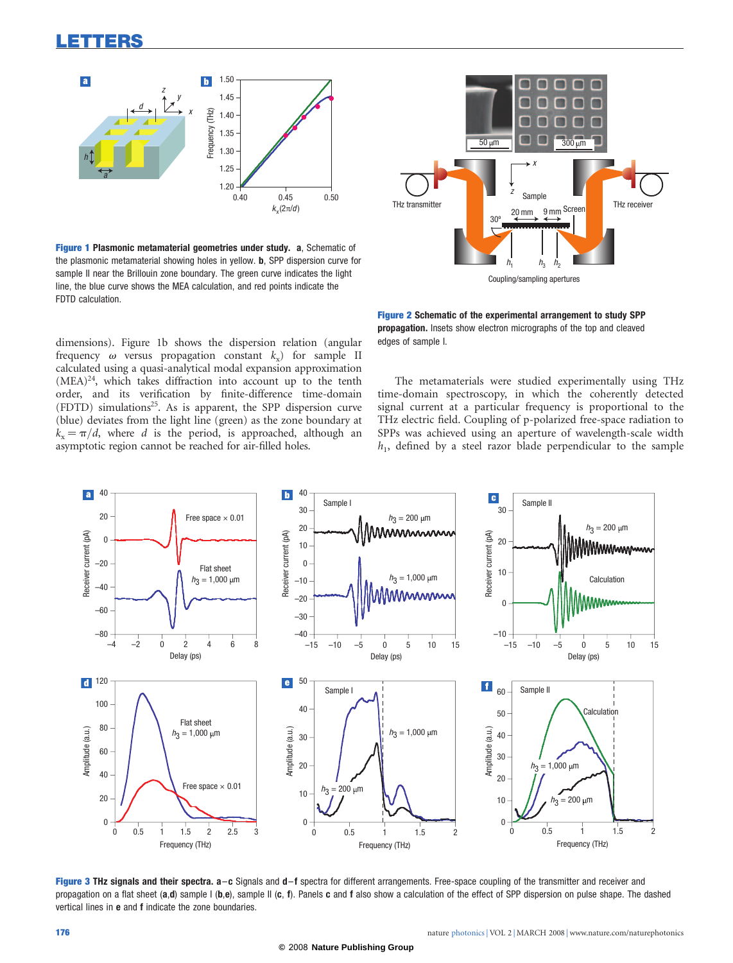

Figure 1 Plasmonic metamaterial geometries under study. a, Schematic of the plasmonic metamaterial showing holes in yellow. b, SPP dispersion curve for sample II near the Brillouin zone boundary. The green curve indicates the light line, the blue curve shows the MEA calculation, and red points indicate the FDTD calculation.

dimensions). Figure 1b shows the dispersion relation (angular frequency  $\omega$  versus propagation constant  $k_y$ ) for sample II calculated using a quasi-analytical modal expansion approximation  $(MEA)^{24}$ , which takes diffraction into account up to the tenth order, and its verification by finite-difference time-domain (FDTD) simulations<sup>25</sup>. As is apparent, the SPP dispersion curve (blue) deviates from the light line (green) as the zone boundary at  $k<sub>v</sub> = \pi/d$ , where d is the period, is approached, although an asymptotic region cannot be reached for air-filled holes.



Figure 2 Schematic of the experimental arrangement to study SPP propagation. Insets show electron micrographs of the top and cleaved edges of sample I.

The metamaterials were studied experimentally using THz time-domain spectroscopy, in which the coherently detected signal current at a particular frequency is proportional to the THz electric field. Coupling of p-polarized free-space radiation to SPPs was achieved using an aperture of wavelength-scale width  $h_1$ , defined by a steel razor blade perpendicular to the sample



Figure 3 THz signals and their spectra. a-c Signals and d-f spectra for different arrangements. Free-space coupling of the transmitter and receiver and propagation on a flat sheet (a,d) sample I (b,e), sample II (c, f). Panels c and f also show a calculation of the effect of SPP dispersion on pulse shape. The dashed vertical lines in e and f indicate the zone boundaries.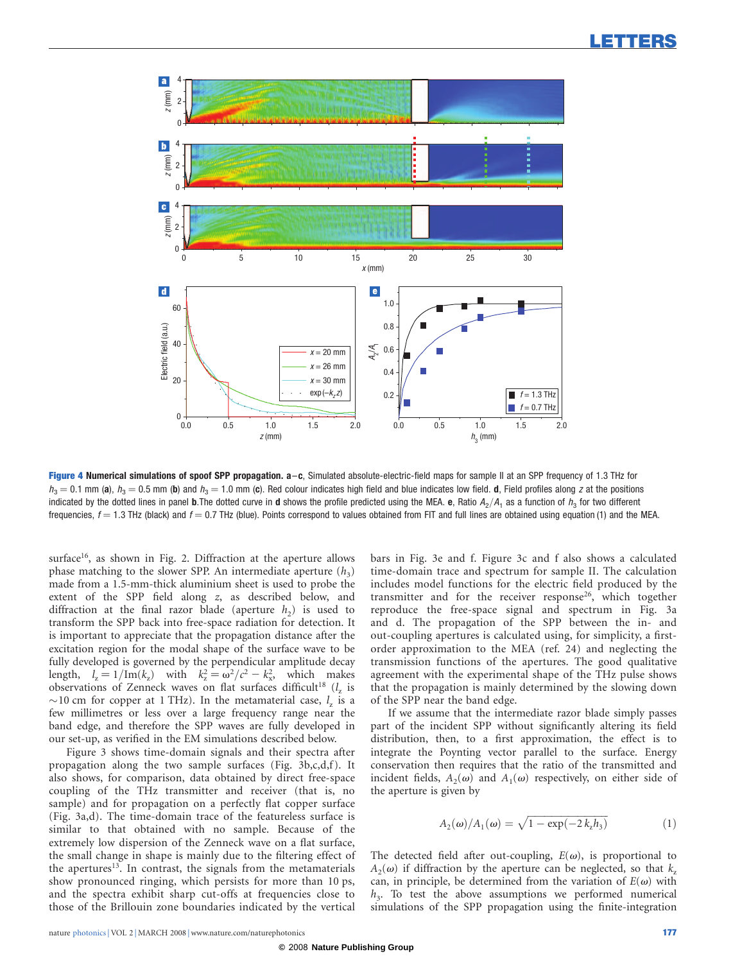

Figure 4 Numerical simulations of spoof SPP propagation. a-c, Simulated absolute-electric-field maps for sample II at an SPP frequency of 1.3 THz for  $h_3 = 0.1$  mm (a),  $h_3 = 0.5$  mm (b) and  $h_3 = 1.0$  mm (c). Red colour indicates high field and blue indicates low field. d, Field profiles along z at the positions indicated by the dotted lines in panel **b**.The dotted curve in **d** shows the profile predicted using the MEA. e, Ratio  $A_2/A_1$  as a function of  $h_3$  for two different frequencies,  $f = 1.3$  THz (black) and  $f = 0.7$  THz (blue). Points correspond to values obtained from FIT and full lines are obtained using equation (1) and the MEA.

surface<sup>16</sup>, as shown in Fig. 2. Diffraction at the aperture allows phase matching to the slower SPP. An intermediate aperture  $(h_3)$ made from a 1.5-mm-thick aluminium sheet is used to probe the extent of the SPP field along z, as described below, and diffraction at the final razor blade (aperture  $h_2$ ) is used to transform the SPP back into free-space radiation for detection. It is important to appreciate that the propagation distance after the excitation region for the modal shape of the surface wave to be fully developed is governed by the perpendicular amplitude decay length,  $l_z = 1/\text{Im}(k_z)$  with  $k_z^2 = \omega^2/c^2 - k_x^2$ , which makes observations of Zenneck waves on flat surfaces difficult<sup>18</sup>  $(l_z)$  is  $\sim$ 10 cm for copper at 1 THz). In the metamaterial case,  $l_z$  is a few millimetres or less over a large frequency range near the band edge, and therefore the SPP waves are fully developed in our set-up, as verified in the EM simulations described below.

Figure 3 shows time-domain signals and their spectra after propagation along the two sample surfaces (Fig. 3b,c,d,f). It also shows, for comparison, data obtained by direct free-space coupling of the THz transmitter and receiver (that is, no sample) and for propagation on a perfectly flat copper surface (Fig. 3a,d). The time-domain trace of the featureless surface is similar to that obtained with no sample. Because of the extremely low dispersion of the Zenneck wave on a flat surface, the small change in shape is mainly due to the filtering effect of the apertures<sup>13</sup>. In contrast, the signals from the metamaterials show pronounced ringing, which persists for more than 10 ps, and the spectra exhibit sharp cut-offs at frequencies close to those of the Brillouin zone boundaries indicated by the vertical

bars in Fig. 3e and f. Figure 3c and f also shows a calculated time-domain trace and spectrum for sample II. The calculation includes model functions for the electric field produced by the transmitter and for the receiver response<sup>26</sup>, which together reproduce the free-space signal and spectrum in Fig. 3a and d. The propagation of the SPP between the in- and out-coupling apertures is calculated using, for simplicity, a firstorder approximation to the MEA (ref. 24) and neglecting the transmission functions of the apertures. The good qualitative agreement with the experimental shape of the THz pulse shows that the propagation is mainly determined by the slowing down of the SPP near the band edge.

If we assume that the intermediate razor blade simply passes part of the incident SPP without significantly altering its field distribution, then, to a first approximation, the effect is to integrate the Poynting vector parallel to the surface. Energy conservation then requires that the ratio of the transmitted and incident fields,  $A_2(\omega)$  and  $A_1(\omega)$  respectively, on either side of the aperture is given by

$$
A_2(\omega)/A_1(\omega) = \sqrt{1 - \exp(-2 k_z h_3)}
$$
 (1)

The detected field after out-coupling,  $E(\omega)$ , is proportional to  $A_2(\omega)$  if diffraction by the aperture can be neglected, so that k<sub>z</sub> can, in principle, be determined from the variation of  $E(\omega)$  with  $h_3$ . To test the above assumptions we performed numerical simulations of the SPP propagation using the finite-integration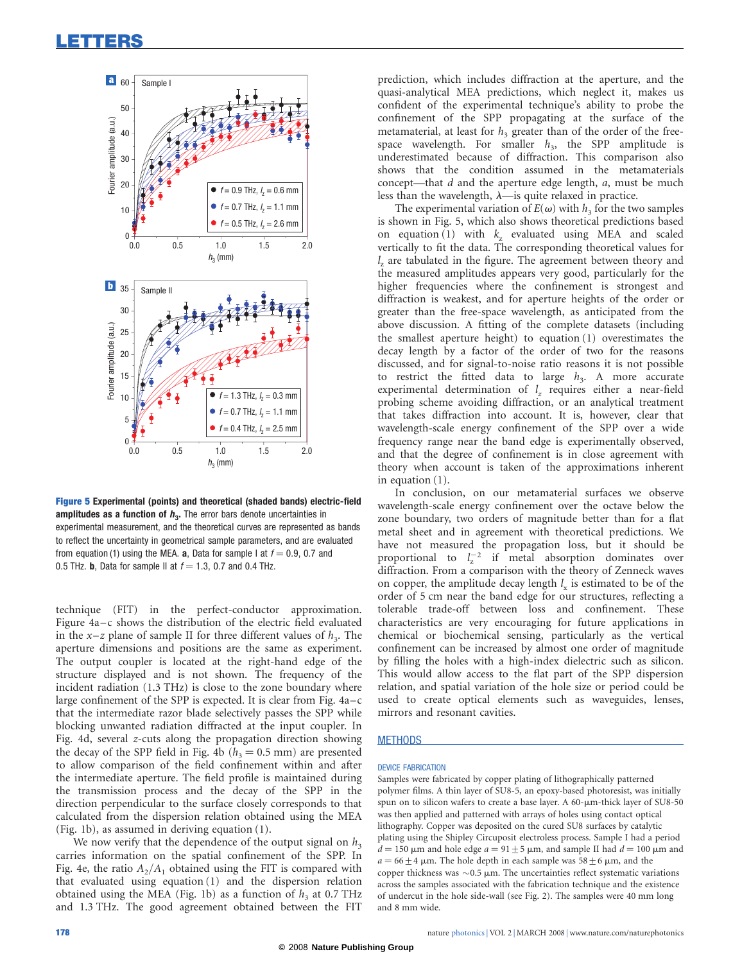### <span id="page-3-0"></span>LETTERS



Figure 5 Experimental (points) and theoretical (shaded bands) electric-field amplitudes as a function of  $h<sub>3</sub>$ . The error bars denote uncertainties in experimental measurement, and the theoretical curves are represented as bands to reflect the uncertainty in geometrical sample parameters, and are evaluated from equation (1) using the MEA. a, Data for sample I at  $f = 0.9$ , 0.7 and 0.5 THz. **b**, Data for sample II at  $f = 1.3$ , 0.7 and 0.4 THz.

technique (FIT) in the perfect-conductor approximation. Figure 4a–c shows the distribution of the electric field evaluated in the  $x-z$  plane of sample II for three different values of  $h_3$ . The aperture dimensions and positions are the same as experiment. The output coupler is located at the right-hand edge of the structure displayed and is not shown. The frequency of the incident radiation (1.3 THz) is close to the zone boundary where large confinement of the SPP is expected. It is clear from Fig. 4a–c that the intermediate razor blade selectively passes the SPP while blocking unwanted radiation diffracted at the input coupler. In Fig. 4d, several z-cuts along the propagation direction showing the decay of the SPP field in Fig. 4b ( $h_3 = 0.5$  mm) are presented to allow comparison of the field confinement within and after the intermediate aperture. The field profile is maintained during the transmission process and the decay of the SPP in the direction perpendicular to the surface closely corresponds to that calculated from the dispersion relation obtained using the MEA (Fig. 1b), as assumed in deriving equation (1).

We now verify that the dependence of the output signal on  $h_3$ carries information on the spatial confinement of the SPP. In Fig. 4e, the ratio  $A_2/A_1$  obtained using the FIT is compared with that evaluated using equation (1) and the dispersion relation obtained using the MEA (Fig. 1b) as a function of  $h_3$  at 0.7 THz and 1.3 THz. The good agreement obtained between the FIT

prediction, which includes diffraction at the aperture, and the quasi-analytical MEA predictions, which neglect it, makes us confident of the experimental technique's ability to probe the confinement of the SPP propagating at the surface of the metamaterial, at least for  $h_3$  greater than of the order of the freespace wavelength. For smaller  $h_3$ , the SPP amplitude is underestimated because of diffraction. This comparison also shows that the condition assumed in the metamaterials concept—that d and the aperture edge length, a, must be much less than the wavelength,  $\lambda$ —is quite relaxed in practice.

The experimental variation of  $E(\omega)$  with  $h_3$  for the two samples is shown in Fig. 5, which also shows theoretical predictions based on equation (1) with  $k_z$  evaluated using MEA and scaled vertically to fit the data. The corresponding theoretical values for  $l<sub>z</sub>$  are tabulated in the figure. The agreement between theory and the measured amplitudes appears very good, particularly for the higher frequencies where the confinement is strongest and diffraction is weakest, and for aperture heights of the order or greater than the free-space wavelength, as anticipated from the above discussion. A fitting of the complete datasets (including the smallest aperture height) to equation (1) overestimates the decay length by a factor of the order of two for the reasons discussed, and for signal-to-noise ratio reasons it is not possible to restrict the fitted data to large  $h<sub>3</sub>$ . A more accurate experimental determination of  $l_z$  requires either a near-field probing scheme avoiding diffraction, or an analytical treatment that takes diffraction into account. It is, however, clear that wavelength-scale energy confinement of the SPP over a wide frequency range near the band edge is experimentally observed, and that the degree of confinement is in close agreement with theory when account is taken of the approximations inherent in equation (1).

In conclusion, on our metamaterial surfaces we observe wavelength-scale energy confinement over the octave below the zone boundary, two orders of magnitude better than for a flat metal sheet and in agreement with theoretical predictions. We have not measured the propagation loss, but it should be proportional to  $l_z^{-2}$  if metal absorption dominates over diffraction. From a comparison with the theory of Zenneck waves on copper, the amplitude decay length  $l<sub>x</sub>$  is estimated to be of the order of 5 cm near the band edge for our structures, reflecting a tolerable trade-off between loss and confinement. These characteristics are very encouraging for future applications in chemical or biochemical sensing, particularly as the vertical confinement can be increased by almost one order of magnitude by filling the holes with a high-index dielectric such as silicon. This would allow access to the flat part of the SPP dispersion relation, and spatial variation of the hole size or period could be used to create optical elements such as waveguides, lenses, mirrors and resonant cavities.

#### **METHODS**

#### DEVICE FABRICATION

Samples were fabricated by copper plating of lithographically patterned polymer films. A thin layer of SU8-5, an epoxy-based photoresist, was initially spun on to silicon wafers to create a base layer. A 60-µm-thick layer of SU8-50 was then applied and patterned with arrays of holes using contact optical lithography. Copper was deposited on the cured SU8 surfaces by catalytic plating using the Shipley Circuposit electroless process. Sample I had a period  $d = 150 \mu m$  and hole edge  $a = 91 \pm 5 \mu m$ , and sample II had  $d = 100 \mu m$  and  $a = 66 \pm 4$  µm. The hole depth in each sample was  $58 \pm 6$  µm, and the copper thickness was  $\sim$  0.5  $\mu$ m. The uncertainties reflect systematic variations across the samples associated with the fabrication technique and the existence of undercut in the hole side-wall (see Fig. 2). The samples were 40 mm long and 8 mm wide.